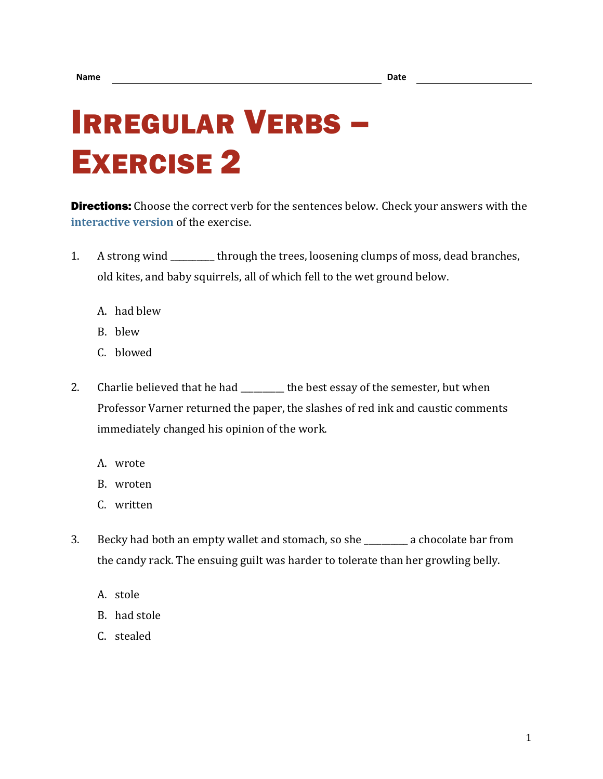## IRREGULAR VERBS – EXERCISE 2

**Directions:** Choose the correct verb for the sentences below. Check your answers with the **[interactive version](https://chompchomp.com/irregular02/)** of the exercise.

- 1. A strong wind \_\_\_\_\_\_\_\_\_\_ through the trees, loosening clumps of moss, dead branches, old kites, and baby squirrels, all of which fell to the wet ground below.
	- A. had blew
	- B. blew
	- C. blowed
- 2. Charlie believed that he had \_\_\_\_\_\_\_\_ the best essay of the semester, but when Professor Varner returned the paper, the slashes of red ink and caustic comments immediately changed his opinion of the work.
	- A. wrote
	- B. wroten
	- C. written
- 3. Becky had both an empty wallet and stomach, so she \_\_\_\_\_\_\_\_\_\_ a chocolate bar from the candy rack. The ensuing guilt was harder to tolerate than her growling belly.
	- A. stole
	- B. had stole
	- C. stealed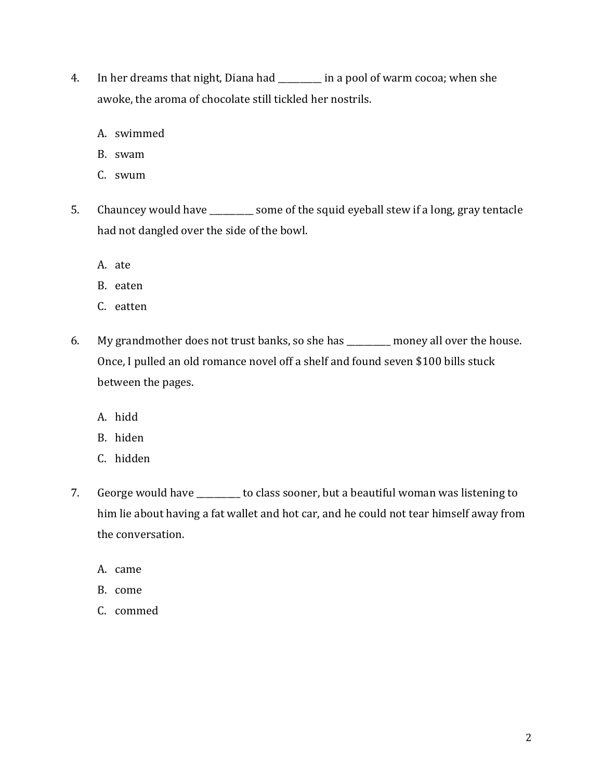- 4. In her dreams that night, Diana had \_\_\_\_\_\_\_\_\_\_ in a pool of warm cocoa; when she awoke, the aroma of chocolate still tickled her nostrils.
	- A. swimmed
	- B. swam
	- C. swum
- 5. Chauncey would have \_\_\_\_\_\_\_\_\_\_ some of the squid eyeball stew if a long, gray tentacle had not dangled over the side of the bowl.
	- A. ate
	- B. eaten
	- C. eatten
- 6. My grandmother does not trust banks, so she has \_\_\_\_\_\_\_\_\_\_ money all over the house. Once, I pulled an old romance novel off a shelf and found seven \$100 bills stuck between the pages.
	- A. hidd
	- B. hiden
	- C. hidden
- 7. George would have \_\_\_\_\_\_\_\_\_\_ to class sooner, but a beautiful woman was listening to him lie about having a fat wallet and hot car, and he could not tear himself away from the conversation.
	- A. came
	- B. come
	- C. commed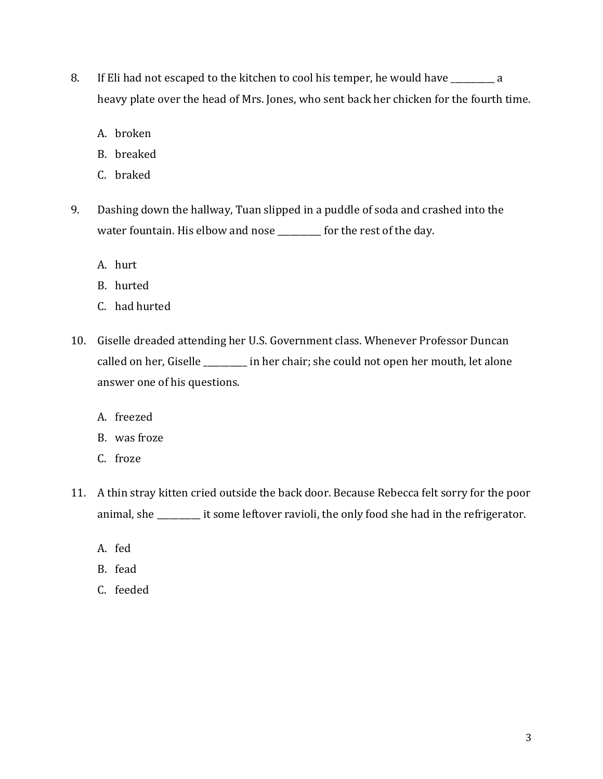- 8. If Eli had not escaped to the kitchen to cool his temper, he would have \_\_\_\_\_\_\_\_\_\_ a heavy plate over the head of Mrs. Jones, who sent back her chicken for the fourth time.
	- A. broken
	- B. breaked
	- C. braked
- 9. Dashing down the hallway, Tuan slipped in a puddle of soda and crashed into the water fountain. His elbow and nose \_\_\_\_\_\_\_\_ for the rest of the day.
	- A. hurt
	- B. hurted
	- C. had hurted
- 10. Giselle dreaded attending her U.S. Government class. Whenever Professor Duncan called on her, Giselle \_\_\_\_\_\_\_\_\_\_ in her chair; she could not open her mouth, let alone answer one of his questions.
	- A. freezed
	- B. was froze
	- C. froze
- 11. A thin stray kitten cried outside the back door. Because Rebecca felt sorry for the poor animal, she \_\_\_\_\_\_\_\_\_\_ it some leftover ravioli, the only food she had in the refrigerator.
	- A. fed
	- B. fead
	- C. feeded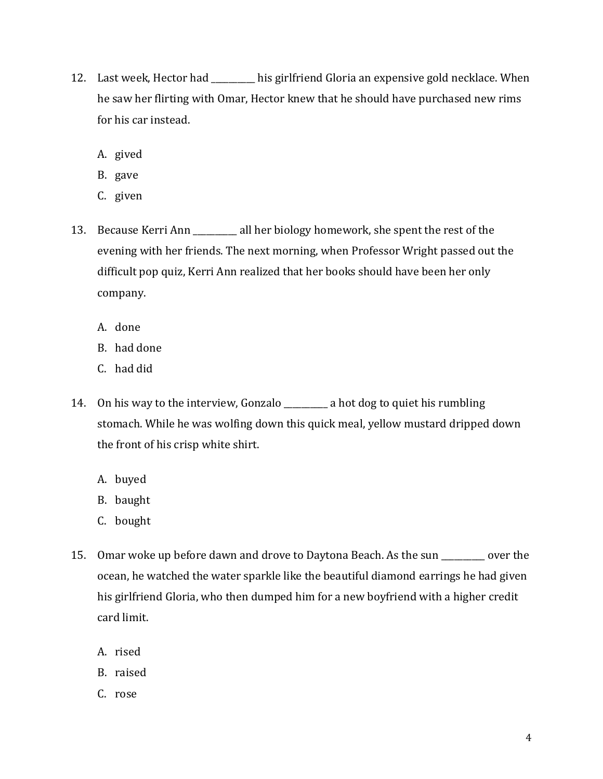- 12. Last week, Hector had \_\_\_\_\_\_\_\_\_\_ his girlfriend Gloria an expensive gold necklace. When he saw her flirting with Omar, Hector knew that he should have purchased new rims for his car instead.
	- A. gived
	- B. gave
	- C. given
- 13. Because Kerri Ann \_\_\_\_\_\_\_\_\_\_ all her biology homework, she spent the rest of the evening with her friends. The next morning, when Professor Wright passed out the difficult pop quiz, Kerri Ann realized that her books should have been her only company.
	- A. done
	- B. had done
	- C. had did
- 14. On his way to the interview, Gonzalo \_\_\_\_\_\_\_\_\_\_ a hot dog to quiet his rumbling stomach. While he was wolfing down this quick meal, yellow mustard dripped down the front of his crisp white shirt.
	- A. buyed
	- B. baught
	- C. bought
- 15. Omar woke up before dawn and drove to Daytona Beach. As the sun \_\_\_\_\_\_\_\_\_\_ over the ocean, he watched the water sparkle like the beautiful diamond earrings he had given his girlfriend Gloria, who then dumped him for a new boyfriend with a higher credit card limit.
	- A. rised
	- B. raised
	- C. rose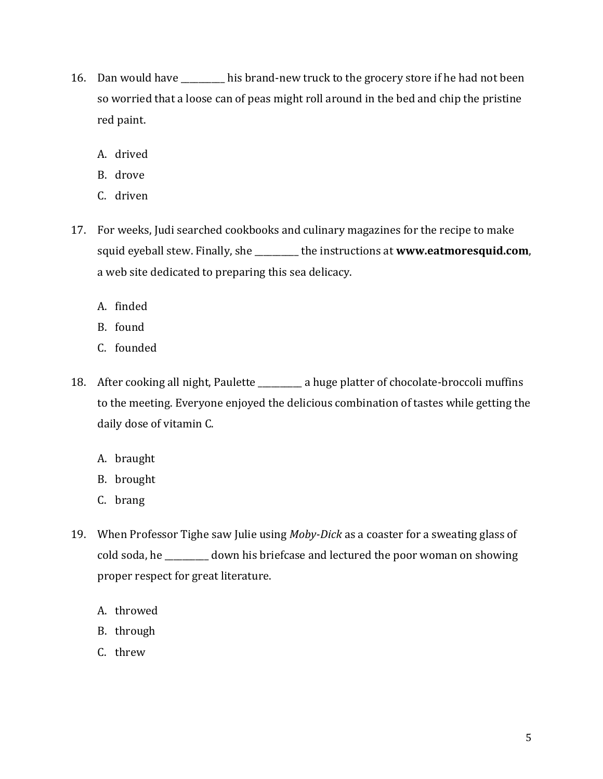- 16. Dan would have \_\_\_\_\_\_\_\_\_\_ his brand-new truck to the grocery store if he had not been so worried that a loose can of peas might roll around in the bed and chip the pristine red paint.
	- A. drived
	- B. drove
	- C. driven
- 17. For weeks, Judi searched cookbooks and culinary magazines for the recipe to make squid eyeball stew. Finally, she \_\_\_\_\_\_\_\_\_\_ the instructions at **www.eatmoresquid.com**, a web site dedicated to preparing this sea delicacy.
	- A. finded
	- B. found
	- C. founded
- 18. After cooking all night, Paulette \_\_\_\_\_\_\_\_ a huge platter of chocolate-broccoli muffins to the meeting. Everyone enjoyed the delicious combination of tastes while getting the daily dose of vitamin C.
	- A. braught
	- B. brought
	- C. brang
- 19. When Professor Tighe saw Julie using *Moby-Dick* as a coaster for a sweating glass of cold soda, he \_\_\_\_\_\_\_\_\_\_ down his briefcase and lectured the poor woman on showing proper respect for great literature.
	- A. throwed
	- B. through
	- C. threw